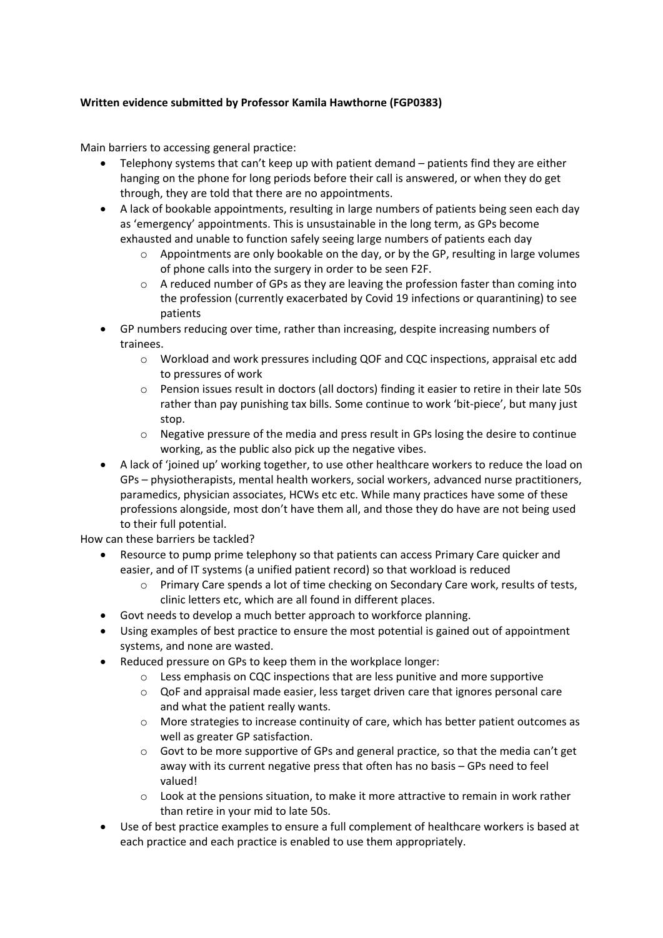## **Written evidence submitted by Professor Kamila Hawthorne (FGP0383)**

Main barriers to accessing general practice:

- Telephony systems that can't keep up with patient demand patients find they are either hanging on the phone for long periods before their call is answered, or when they do get through, they are told that there are no appointments.
- A lack of bookable appointments, resulting in large numbers of patients being seen each day as 'emergency' appointments. This is unsustainable in the long term, as GPs become exhausted and unable to function safely seeing large numbers of patients each day
	- o Appointments are only bookable on the day, or by the GP, resulting in large volumes of phone calls into the surgery in order to be seen F2F.
	- $\circ$  A reduced number of GPs as they are leaving the profession faster than coming into the profession (currently exacerbated by Covid 19 infections or quarantining) to see patients
- GP numbers reducing over time, rather than increasing, despite increasing numbers of trainees.
	- o Workload and work pressures including QOF and CQC inspections, appraisal etc add to pressures of work
	- o Pension issues result in doctors (all doctors) finding it easier to retire in their late 50s rather than pay punishing tax bills. Some continue to work 'bit-piece', but many just stop.
	- o Negative pressure of the media and press result in GPs losing the desire to continue working, as the public also pick up the negative vibes.
- A lack of 'joined up' working together, to use other healthcare workers to reduce the load on GPs – physiotherapists, mental health workers, social workers, advanced nurse practitioners, paramedics, physician associates, HCWs etc etc. While many practices have some of these professions alongside, most don't have them all, and those they do have are not being used to their full potential.

How can these barriers be tackled?

- Resource to pump prime telephony so that patients can access Primary Care quicker and easier, and of IT systems (a unified patient record) so that workload is reduced
	- o Primary Care spends a lot of time checking on Secondary Care work, results of tests, clinic letters etc, which are all found in different places.
- Govt needs to develop a much better approach to workforce planning.
- Using examples of best practice to ensure the most potential is gained out of appointment systems, and none are wasted.
- Reduced pressure on GPs to keep them in the workplace longer:
	- $\circ$  Less emphasis on CQC inspections that are less punitive and more supportive
		- o QoF and appraisal made easier, less target driven care that ignores personal care and what the patient really wants.
		- o More strategies to increase continuity of care, which has better patient outcomes as well as greater GP satisfaction.
		- $\circ$  Govt to be more supportive of GPs and general practice, so that the media can't get away with its current negative press that often has no basis – GPs need to feel valued!
		- $\circ$  Look at the pensions situation, to make it more attractive to remain in work rather than retire in your mid to late 50s.
- Use of best practice examples to ensure a full complement of healthcare workers is based at each practice and each practice is enabled to use them appropriately.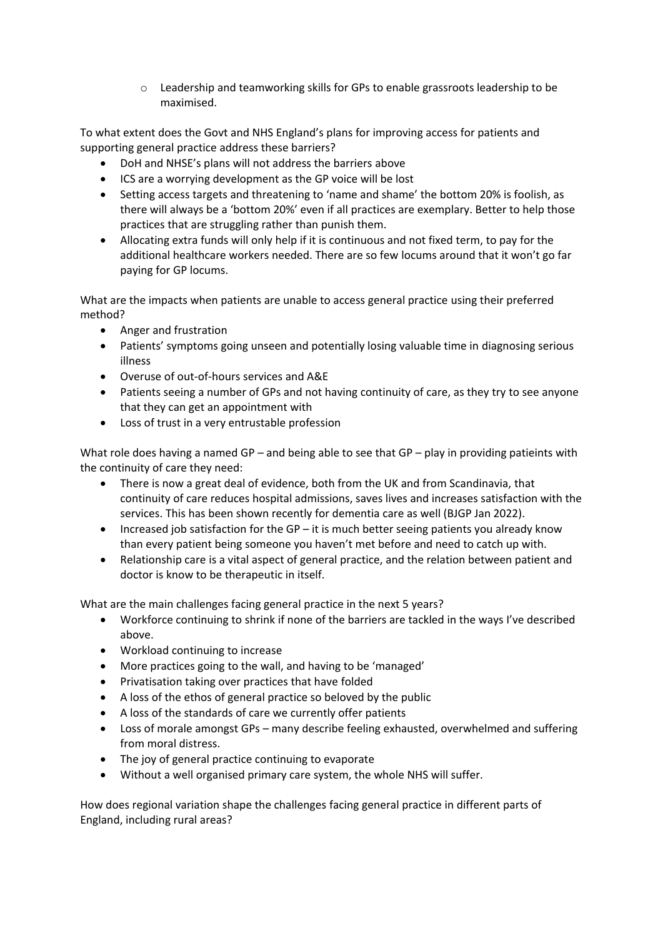o Leadership and teamworking skills for GPs to enable grassroots leadership to be maximised.

To what extent does the Govt and NHS England's plans for improving access for patients and supporting general practice address these barriers?

- DoH and NHSE's plans will not address the barriers above
- ICS are a worrying development as the GP voice will be lost
- Setting access targets and threatening to 'name and shame' the bottom 20% is foolish, as there will always be a 'bottom 20%' even if all practices are exemplary. Better to help those practices that are struggling rather than punish them.
- Allocating extra funds will only help if it is continuous and not fixed term, to pay for the additional healthcare workers needed. There are so few locums around that it won't go far paying for GP locums.

What are the impacts when patients are unable to access general practice using their preferred method?

- Anger and frustration
- Patients' symptoms going unseen and potentially losing valuable time in diagnosing serious illness
- Overuse of out-of-hours services and A&E
- Patients seeing a number of GPs and not having continuity of care, as they try to see anyone that they can get an appointment with
- Loss of trust in a very entrustable profession

What role does having a named GP – and being able to see that GP – play in providing patieints with the continuity of care they need:

- There is now a great deal of evidence, both from the UK and from Scandinavia, that continuity of care reduces hospital admissions, saves lives and increases satisfaction with the services. This has been shown recently for dementia care as well (BJGP Jan 2022).
- Increased job satisfaction for the GP it is much better seeing patients you already know than every patient being someone you haven't met before and need to catch up with.
- Relationship care is a vital aspect of general practice, and the relation between patient and doctor is know to be therapeutic in itself.

What are the main challenges facing general practice in the next 5 years?

- Workforce continuing to shrink if none of the barriers are tackled in the ways I've described above.
- Workload continuing to increase
- More practices going to the wall, and having to be 'managed'
- Privatisation taking over practices that have folded
- A loss of the ethos of general practice so beloved by the public
- A loss of the standards of care we currently offer patients
- Loss of morale amongst GPs many describe feeling exhausted, overwhelmed and suffering from moral distress.
- The joy of general practice continuing to evaporate
- Without a well organised primary care system, the whole NHS will suffer.

How does regional variation shape the challenges facing general practice in different parts of England, including rural areas?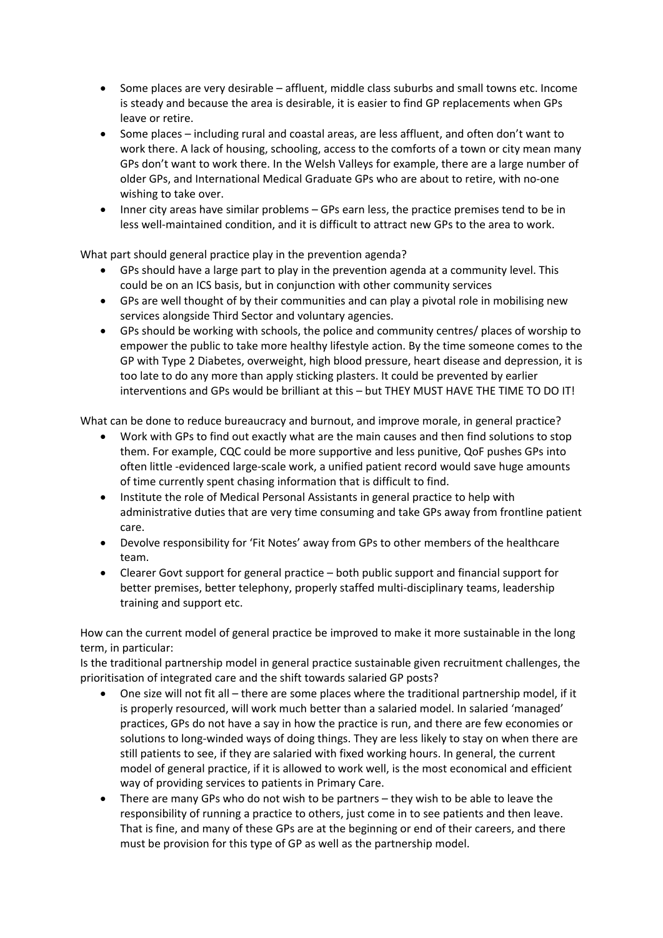- Some places are very desirable affluent, middle class suburbs and small towns etc. Income is steady and because the area is desirable, it is easier to find GP replacements when GPs leave or retire.
- Some places including rural and coastal areas, are less affluent, and often don't want to work there. A lack of housing, schooling, access to the comforts of a town or city mean many GPs don't want to work there. In the Welsh Valleys for example, there are a large number of older GPs, and International Medical Graduate GPs who are about to retire, with no-one wishing to take over.
- Inner city areas have similar problems GPs earn less, the practice premises tend to be in less well-maintained condition, and it is difficult to attract new GPs to the area to work.

What part should general practice play in the prevention agenda?

- GPs should have a large part to play in the prevention agenda at a community level. This could be on an ICS basis, but in conjunction with other community services
- GPs are well thought of by their communities and can play a pivotal role in mobilising new services alongside Third Sector and voluntary agencies.
- GPs should be working with schools, the police and community centres/ places of worship to empower the public to take more healthy lifestyle action. By the time someone comes to the GP with Type 2 Diabetes, overweight, high blood pressure, heart disease and depression, it is too late to do any more than apply sticking plasters. It could be prevented by earlier interventions and GPs would be brilliant at this – but THEY MUST HAVE THE TIME TO DO IT!

What can be done to reduce bureaucracy and burnout, and improve morale, in general practice?

- Work with GPs to find out exactly what are the main causes and then find solutions to stop them. For example, CQC could be more supportive and less punitive, QoF pushes GPs into often little -evidenced large-scale work, a unified patient record would save huge amounts of time currently spent chasing information that is difficult to find.
- Institute the role of Medical Personal Assistants in general practice to help with administrative duties that are very time consuming and take GPs away from frontline patient care.
- Devolve responsibility for 'Fit Notes' away from GPs to other members of the healthcare team.
- Clearer Govt support for general practice both public support and financial support for better premises, better telephony, properly staffed multi-disciplinary teams, leadership training and support etc.

How can the current model of general practice be improved to make it more sustainable in the long term, in particular:

Is the traditional partnership model in general practice sustainable given recruitment challenges, the prioritisation of integrated care and the shift towards salaried GP posts?

- One size will not fit all there are some places where the traditional partnership model, if it is properly resourced, will work much better than a salaried model. In salaried 'managed' practices, GPs do not have a say in how the practice is run, and there are few economies or solutions to long-winded ways of doing things. They are less likely to stay on when there are still patients to see, if they are salaried with fixed working hours. In general, the current model of general practice, if it is allowed to work well, is the most economical and efficient way of providing services to patients in Primary Care.
- There are many GPs who do not wish to be partners they wish to be able to leave the responsibility of running a practice to others, just come in to see patients and then leave. That is fine, and many of these GPs are at the beginning or end of their careers, and there must be provision for this type of GP as well as the partnership model.